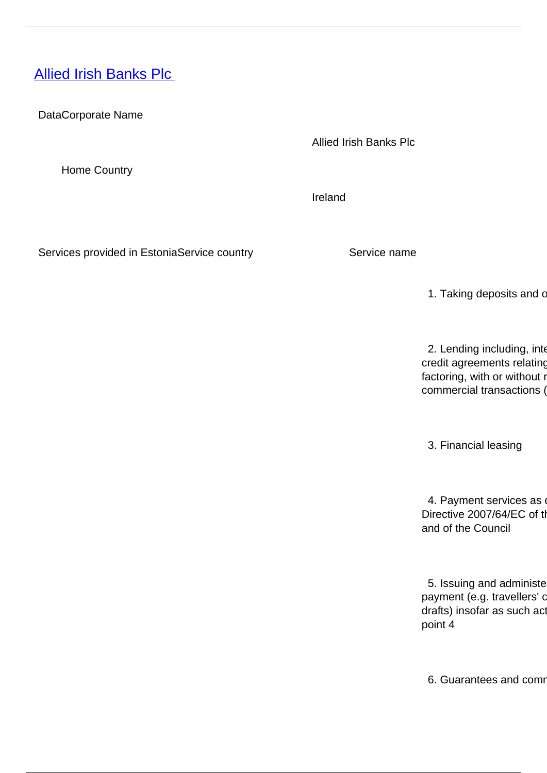## <span id="page-0-0"></span>**[Allied Irish Banks Plc](/en/banking-and-credit/banking-and-credit/credit-institutions/providers-cross-border-banking-services/allied-irish-banks-plc)**

DataCorporate Name

Allied Irish Banks Plc

Home Country

Ireland

Services provided in EstoniaService country Service name

1. Taking deposits and c

2. Lending including, inter credit agreements relating factoring, with or without r commercial transactions (

3. Financial leasing

4. Payment services as Directive 2007/64/EC of the and of the Council

5. Issuing and administe payment (e.g. travellers' c drafts) insofar as such act point 4

6. Guarantees and comm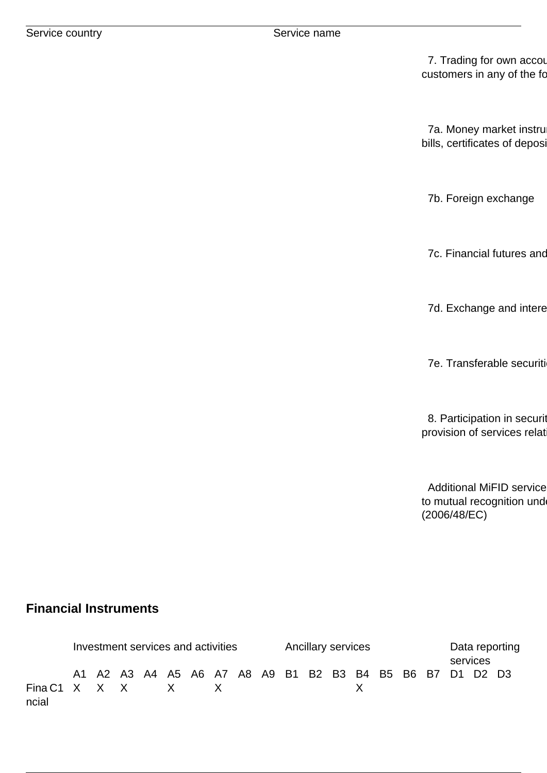7. Trading for own accou customers in any of the fo

7a. Money market instru bills, certificates of deposi

7b. Foreign exchange

7c. Financial futures and

7d. Exchange and intere

7e. Transferable securiti

8. Participation in securit provision of services relat

Additional MiFID service to mutual recognition und (2006/48/EC)

## **Financial Instruments**

|                            | Investment services and activities |                                                          |  |  |  |  |  |  | <b>Ancillary services</b> |  |  |  |  |  | Data reporting<br>services |  |  |  |  |
|----------------------------|------------------------------------|----------------------------------------------------------|--|--|--|--|--|--|---------------------------|--|--|--|--|--|----------------------------|--|--|--|--|
| Fina C1 X X X X X<br>ncial |                                    | A1 A2 A3 A4 A5 A6 A7 A8 A9 B1 B2 B3 B4 B5 B6 B7 D1 D2 D3 |  |  |  |  |  |  |                           |  |  |  |  |  |                            |  |  |  |  |